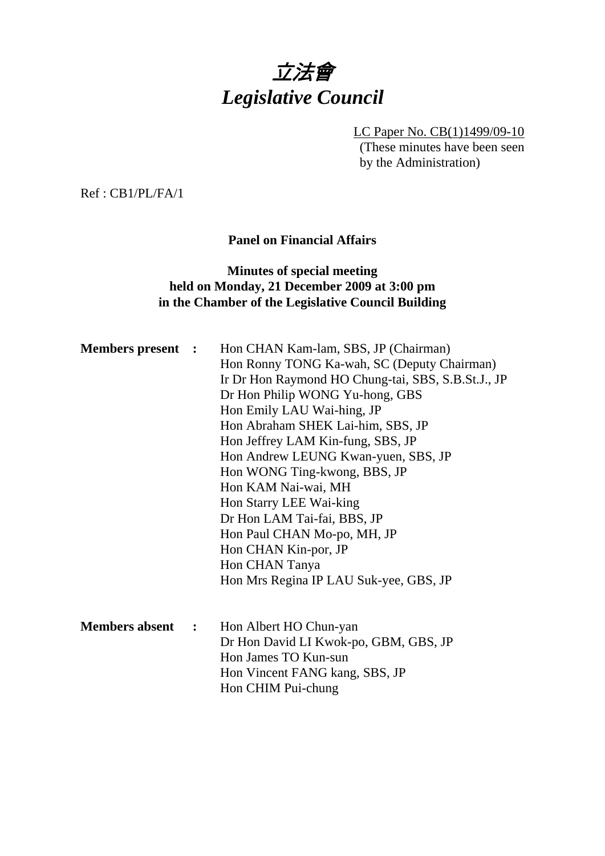

LC Paper No. CB(1)1499/09-10 (These minutes have been seen by the Administration)

Ref : CB1/PL/FA/1

## **Panel on Financial Affairs**

# **Minutes of special meeting held on Monday, 21 December 2009 at 3:00 pm in the Chamber of the Legislative Council Building**

| <b>Members present :</b> |                      | Hon CHAN Kam-lam, SBS, JP (Chairman)<br>Hon Ronny TONG Ka-wah, SC (Deputy Chairman)<br>Ir Dr Hon Raymond HO Chung-tai, SBS, S.B.St.J., JP<br>Dr Hon Philip WONG Yu-hong, GBS<br>Hon Emily LAU Wai-hing, JP<br>Hon Abraham SHEK Lai-him, SBS, JP<br>Hon Jeffrey LAM Kin-fung, SBS, JP<br>Hon Andrew LEUNG Kwan-yuen, SBS, JP<br>Hon WONG Ting-kwong, BBS, JP<br>Hon KAM Nai-wai, MH<br>Hon Starry LEE Wai-king<br>Dr Hon LAM Tai-fai, BBS, JP<br>Hon Paul CHAN Mo-po, MH, JP<br>Hon CHAN Kin-por, JP<br>Hon CHAN Tanya<br>Hon Mrs Regina IP LAU Suk-yee, GBS, JP |
|--------------------------|----------------------|-----------------------------------------------------------------------------------------------------------------------------------------------------------------------------------------------------------------------------------------------------------------------------------------------------------------------------------------------------------------------------------------------------------------------------------------------------------------------------------------------------------------------------------------------------------------|
| <b>Members absent</b>    | $\ddot{\phantom{1}}$ | Hon Albert HO Chun-yan<br>Dr Hon David LI Kwok-po, GBM, GBS, JP<br>Hon James TO Kun-sun<br>Hon Vincent FANG kang, SBS, JP<br>Hon CHIM Pui-chung                                                                                                                                                                                                                                                                                                                                                                                                                 |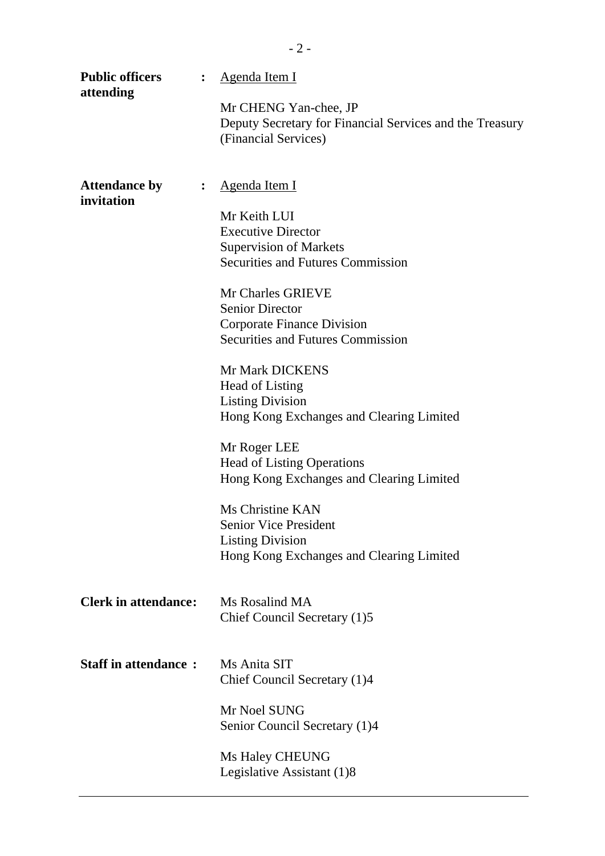| <b>Public officers</b><br>$\ddot{\cdot}$<br>attending | Agenda Item I<br>Mr CHENG Yan-chee, JP<br>Deputy Secretary for Financial Services and the Treasury<br>(Financial Services)                                                                                                                                                                                                                                                                                                                                                                                                                                                  |
|-------------------------------------------------------|-----------------------------------------------------------------------------------------------------------------------------------------------------------------------------------------------------------------------------------------------------------------------------------------------------------------------------------------------------------------------------------------------------------------------------------------------------------------------------------------------------------------------------------------------------------------------------|
| <b>Attendance by</b><br>$\ddot{\cdot}$<br>invitation  | <u>Agenda Item I</u><br>Mr Keith LUI<br><b>Executive Director</b><br><b>Supervision of Markets</b><br><b>Securities and Futures Commission</b><br>Mr Charles GRIEVE<br><b>Senior Director</b><br><b>Corporate Finance Division</b><br><b>Securities and Futures Commission</b><br>Mr Mark DICKENS<br>Head of Listing<br><b>Listing Division</b><br>Hong Kong Exchanges and Clearing Limited<br>Mr Roger LEE<br><b>Head of Listing Operations</b><br>Hong Kong Exchanges and Clearing Limited<br>Ms Christine KAN<br><b>Senior Vice President</b><br><b>Listing Division</b> |
| <b>Clerk in attendance:</b>                           | Hong Kong Exchanges and Clearing Limited<br>Ms Rosalind MA                                                                                                                                                                                                                                                                                                                                                                                                                                                                                                                  |
| <b>Staff in attendance:</b>                           | Chief Council Secretary (1)5<br>Ms Anita SIT<br>Chief Council Secretary (1)4<br>Mr Noel SUNG                                                                                                                                                                                                                                                                                                                                                                                                                                                                                |
|                                                       | Senior Council Secretary (1)4<br>Ms Haley CHEUNG<br>Legislative Assistant (1)8                                                                                                                                                                                                                                                                                                                                                                                                                                                                                              |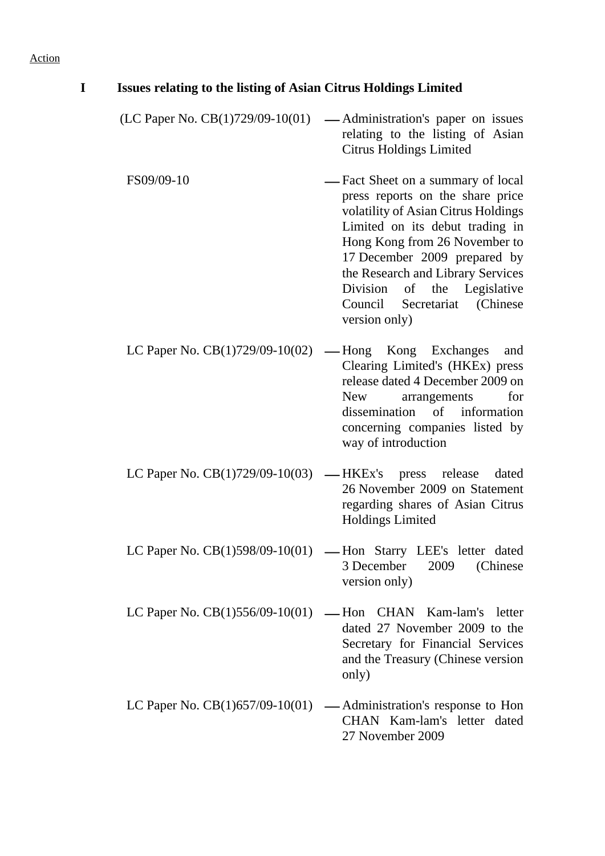| I | <b>Issues relating to the listing of Asian Citrus Holdings Limited</b> |                                                                                                                                                                                                                                                                                                                                        |
|---|------------------------------------------------------------------------|----------------------------------------------------------------------------------------------------------------------------------------------------------------------------------------------------------------------------------------------------------------------------------------------------------------------------------------|
|   | (LC Paper No. $CB(1)729/09-10(01)$ )                                   | — Administration's paper on issues<br>relating to the listing of Asian<br><b>Citrus Holdings Limited</b>                                                                                                                                                                                                                               |
|   | FS09/09-10                                                             | — Fact Sheet on a summary of local<br>press reports on the share price<br>volatility of Asian Citrus Holdings<br>Limited on its debut trading in<br>Hong Kong from 26 November to<br>17 December 2009 prepared by<br>the Research and Library Services<br>Division of the Legislative<br>Council Secretariat (Chinese<br>version only) |
|   | LC Paper No. $CB(1)729/09-10(02)$ — Hong Kong Exchanges                | and<br>Clearing Limited's (HKEx) press<br>release dated 4 December 2009 on<br>for<br>New<br>arrangements<br>dissemination of information<br>concerning companies listed by<br>way of introduction                                                                                                                                      |
|   | LC Paper No. $CB(1)729/09-10(03)$ — HKEx's press release               | dated<br>26 November 2009 on Statement<br>regarding shares of Asian Citrus<br><b>Holdings Limited</b>                                                                                                                                                                                                                                  |
|   |                                                                        | LC Paper No. $CB(1)598/09-10(01)$ — Hon Starry LEE's letter dated<br>3 December<br>2009<br>(Chinese)<br>version only)                                                                                                                                                                                                                  |
|   |                                                                        | LC Paper No. $CB(1)556/09-10(01)$ — Hon CHAN Kam-lam's letter<br>dated 27 November 2009 to the<br>Secretary for Financial Services<br>and the Treasury (Chinese version<br>only)                                                                                                                                                       |
|   |                                                                        | LC Paper No. $CB(1)$ 657/09-10(01) — Administration's response to Hon<br>CHAN Kam-lam's letter dated<br>27 November 2009                                                                                                                                                                                                               |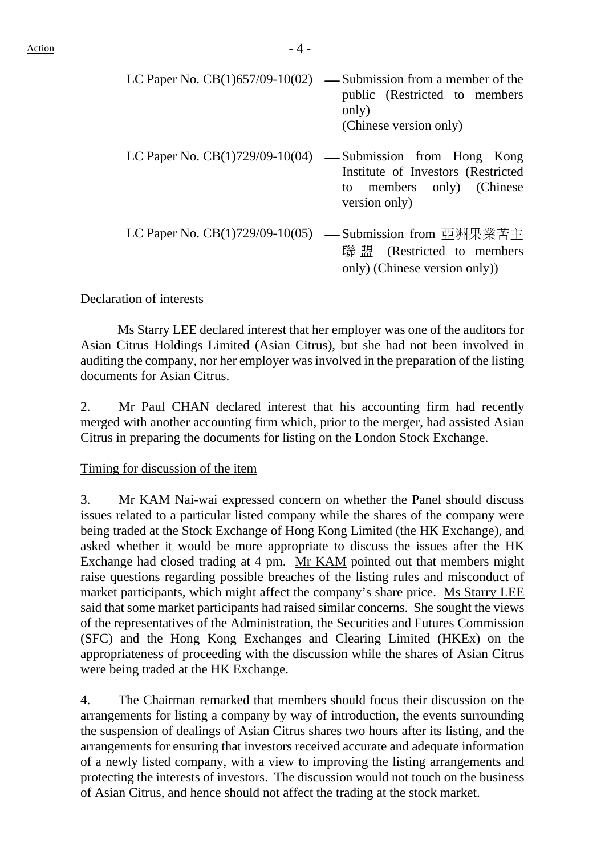|                                   | LC Paper No. $CB(1)657/09-10(02)$ — Submission from a member of the<br>public (Restricted to members)<br>only)<br>(Chinese version only) |
|-----------------------------------|------------------------------------------------------------------------------------------------------------------------------------------|
| LC Paper No. $CB(1)729/09-10(04)$ | — Submission from Hong Kong<br>Institute of Investors (Restricted<br>to members only) (Chinese<br>version only)                          |
|                                   | LC Paper No. CB(1)729/09-10(05) — Submission from 亞洲果業苦主<br>聯 盟 (Restricted to members<br>only) (Chinese version only))                  |

Declaration of interests

 Ms Starry LEE declared interest that her employer was one of the auditors for Asian Citrus Holdings Limited (Asian Citrus), but she had not been involved in auditing the company, nor her employer was involved in the preparation of the listing documents for Asian Citrus.

2. Mr Paul CHAN declared interest that his accounting firm had recently merged with another accounting firm which, prior to the merger, had assisted Asian Citrus in preparing the documents for listing on the London Stock Exchange.

#### Timing for discussion of the item

3. Mr KAM Nai-wai expressed concern on whether the Panel should discuss issues related to a particular listed company while the shares of the company were being traded at the Stock Exchange of Hong Kong Limited (the HK Exchange), and asked whether it would be more appropriate to discuss the issues after the HK Exchange had closed trading at 4 pm. Mr KAM pointed out that members might raise questions regarding possible breaches of the listing rules and misconduct of market participants, which might affect the company's share price. Ms Starry LEE said that some market participants had raised similar concerns. She sought the views of the representatives of the Administration, the Securities and Futures Commission (SFC) and the Hong Kong Exchanges and Clearing Limited (HKEx) on the appropriateness of proceeding with the discussion while the shares of Asian Citrus were being traded at the HK Exchange.

4. The Chairman remarked that members should focus their discussion on the arrangements for listing a company by way of introduction, the events surrounding the suspension of dealings of Asian Citrus shares two hours after its listing, and the arrangements for ensuring that investors received accurate and adequate information of a newly listed company, with a view to improving the listing arrangements and protecting the interests of investors. The discussion would not touch on the business of Asian Citrus, and hence should not affect the trading at the stock market.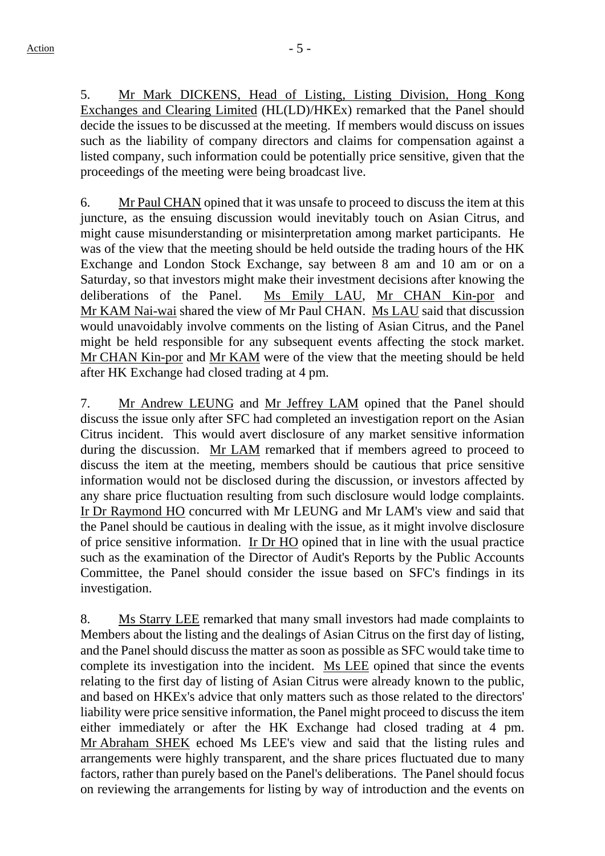5. Mr Mark DICKENS, Head of Listing, Listing Division, Hong Kong Exchanges and Clearing Limited (HL(LD)/HKEx) remarked that the Panel should decide the issues to be discussed at the meeting. If members would discuss on issues such as the liability of company directors and claims for compensation against a listed company, such information could be potentially price sensitive, given that the proceedings of the meeting were being broadcast live.

6. Mr Paul CHAN opined that it was unsafe to proceed to discuss the item at this juncture, as the ensuing discussion would inevitably touch on Asian Citrus, and might cause misunderstanding or misinterpretation among market participants. He was of the view that the meeting should be held outside the trading hours of the HK Exchange and London Stock Exchange, say between 8 am and 10 am or on a Saturday, so that investors might make their investment decisions after knowing the deliberations of the Panel. Ms Emily LAU, Mr CHAN Kin-por and Mr KAM Nai-wai shared the view of Mr Paul CHAN. Ms LAU said that discussion would unavoidably involve comments on the listing of Asian Citrus, and the Panel might be held responsible for any subsequent events affecting the stock market. Mr CHAN Kin-por and Mr KAM were of the view that the meeting should be held after HK Exchange had closed trading at 4 pm.

7. Mr Andrew LEUNG and Mr Jeffrey LAM opined that the Panel should discuss the issue only after SFC had completed an investigation report on the Asian Citrus incident. This would avert disclosure of any market sensitive information during the discussion. Mr LAM remarked that if members agreed to proceed to discuss the item at the meeting, members should be cautious that price sensitive information would not be disclosed during the discussion, or investors affected by any share price fluctuation resulting from such disclosure would lodge complaints. Ir Dr Raymond HO concurred with Mr LEUNG and Mr LAM's view and said that the Panel should be cautious in dealing with the issue, as it might involve disclosure of price sensitive information. Ir Dr HO opined that in line with the usual practice such as the examination of the Director of Audit's Reports by the Public Accounts Committee, the Panel should consider the issue based on SFC's findings in its investigation.

8. Ms Starry LEE remarked that many small investors had made complaints to Members about the listing and the dealings of Asian Citrus on the first day of listing, and the Panel should discuss the matter as soon as possible as SFC would take time to complete its investigation into the incident. Ms LEE opined that since the events relating to the first day of listing of Asian Citrus were already known to the public, and based on HKEx's advice that only matters such as those related to the directors' liability were price sensitive information, the Panel might proceed to discuss the item either immediately or after the HK Exchange had closed trading at 4 pm. Mr Abraham SHEK echoed Ms LEE's view and said that the listing rules and arrangements were highly transparent, and the share prices fluctuated due to many factors, rather than purely based on the Panel's deliberations. The Panel should focus on reviewing the arrangements for listing by way of introduction and the events on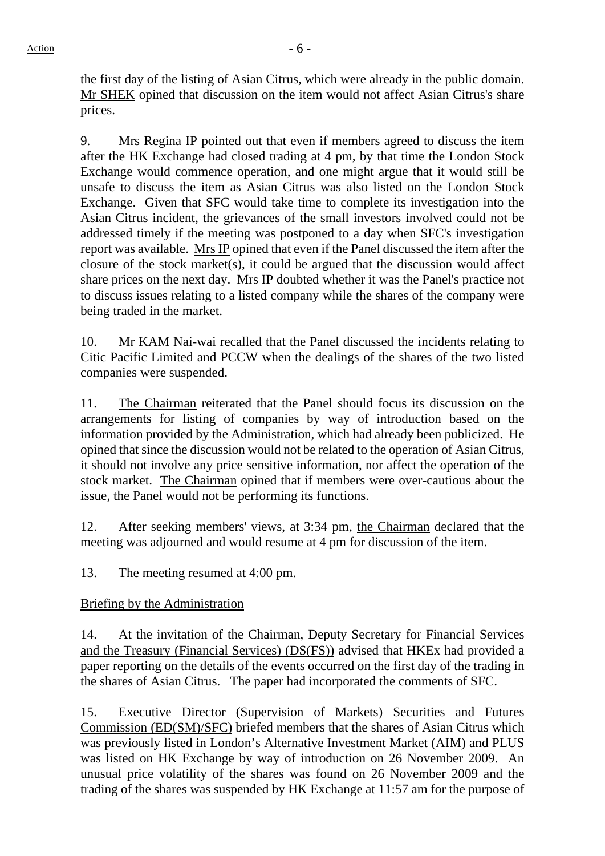the first day of the listing of Asian Citrus, which were already in the public domain. Mr SHEK opined that discussion on the item would not affect Asian Citrus's share prices.

9. Mrs Regina IP pointed out that even if members agreed to discuss the item after the HK Exchange had closed trading at 4 pm, by that time the London Stock Exchange would commence operation, and one might argue that it would still be unsafe to discuss the item as Asian Citrus was also listed on the London Stock Exchange. Given that SFC would take time to complete its investigation into the Asian Citrus incident, the grievances of the small investors involved could not be addressed timely if the meeting was postponed to a day when SFC's investigation report was available. Mrs IP opined that even if the Panel discussed the item after the closure of the stock market(s), it could be argued that the discussion would affect share prices on the next day. Mrs IP doubted whether it was the Panel's practice not to discuss issues relating to a listed company while the shares of the company were being traded in the market.

10. Mr KAM Nai-wai recalled that the Panel discussed the incidents relating to Citic Pacific Limited and PCCW when the dealings of the shares of the two listed companies were suspended.

11. The Chairman reiterated that the Panel should focus its discussion on the arrangements for listing of companies by way of introduction based on the information provided by the Administration, which had already been publicized. He opined that since the discussion would not be related to the operation of Asian Citrus, it should not involve any price sensitive information, nor affect the operation of the stock market. The Chairman opined that if members were over-cautious about the issue, the Panel would not be performing its functions.

12. After seeking members' views, at 3:34 pm, the Chairman declared that the meeting was adjourned and would resume at 4 pm for discussion of the item.

13. The meeting resumed at 4:00 pm.

## Briefing by the Administration

14. At the invitation of the Chairman, Deputy Secretary for Financial Services and the Treasury (Financial Services) (DS(FS)) advised that HKEx had provided a paper reporting on the details of the events occurred on the first day of the trading in the shares of Asian Citrus. The paper had incorporated the comments of SFC.

15. Executive Director (Supervision of Markets) Securities and Futures Commission (ED(SM)/SFC) briefed members that the shares of Asian Citrus which was previously listed in London's Alternative Investment Market (AIM) and PLUS was listed on HK Exchange by way of introduction on 26 November 2009. An unusual price volatility of the shares was found on 26 November 2009 and the trading of the shares was suspended by HK Exchange at 11:57 am for the purpose of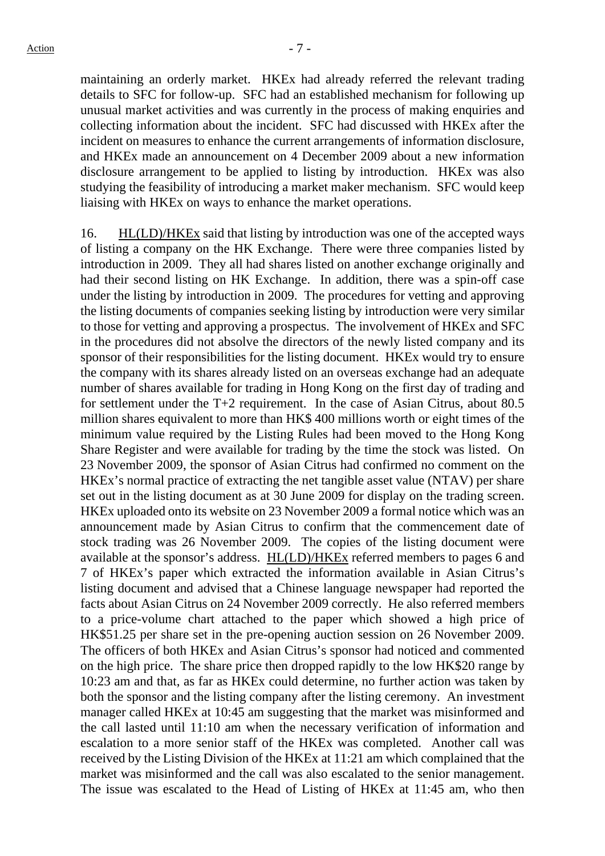maintaining an orderly market. HKEx had already referred the relevant trading details to SFC for follow-up. SFC had an established mechanism for following up unusual market activities and was currently in the process of making enquiries and collecting information about the incident. SFC had discussed with HKEx after the incident on measures to enhance the current arrangements of information disclosure, and HKEx made an announcement on 4 December 2009 about a new information disclosure arrangement to be applied to listing by introduction. HKEx was also studying the feasibility of introducing a market maker mechanism. SFC would keep liaising with HKEx on ways to enhance the market operations.

16. HL(LD)/HKEx said that listing by introduction was one of the accepted ways of listing a company on the HK Exchange. There were three companies listed by introduction in 2009. They all had shares listed on another exchange originally and had their second listing on HK Exchange. In addition, there was a spin-off case under the listing by introduction in 2009. The procedures for vetting and approving the listing documents of companies seeking listing by introduction were very similar to those for vetting and approving a prospectus. The involvement of HKEx and SFC in the procedures did not absolve the directors of the newly listed company and its sponsor of their responsibilities for the listing document. HKEx would try to ensure the company with its shares already listed on an overseas exchange had an adequate number of shares available for trading in Hong Kong on the first day of trading and for settlement under the T+2 requirement. In the case of Asian Citrus, about 80.5 million shares equivalent to more than HK\$ 400 millions worth or eight times of the minimum value required by the Listing Rules had been moved to the Hong Kong Share Register and were available for trading by the time the stock was listed. On 23 November 2009, the sponsor of Asian Citrus had confirmed no comment on the HKEx's normal practice of extracting the net tangible asset value (NTAV) per share set out in the listing document as at 30 June 2009 for display on the trading screen. HKEx uploaded onto its website on 23 November 2009 a formal notice which was an announcement made by Asian Citrus to confirm that the commencement date of stock trading was 26 November 2009. The copies of the listing document were available at the sponsor's address. HL(LD)/HKEx referred members to pages 6 and 7 of HKEx's paper which extracted the information available in Asian Citrus's listing document and advised that a Chinese language newspaper had reported the facts about Asian Citrus on 24 November 2009 correctly. He also referred members to a price-volume chart attached to the paper which showed a high price of HK\$51.25 per share set in the pre-opening auction session on 26 November 2009. The officers of both HKEx and Asian Citrus's sponsor had noticed and commented on the high price. The share price then dropped rapidly to the low HK\$20 range by 10:23 am and that, as far as HKEx could determine, no further action was taken by both the sponsor and the listing company after the listing ceremony. An investment manager called HKEx at 10:45 am suggesting that the market was misinformed and the call lasted until 11:10 am when the necessary verification of information and escalation to a more senior staff of the HKEx was completed. Another call was received by the Listing Division of the HKEx at 11:21 am which complained that the market was misinformed and the call was also escalated to the senior management. The issue was escalated to the Head of Listing of HKEx at 11:45 am, who then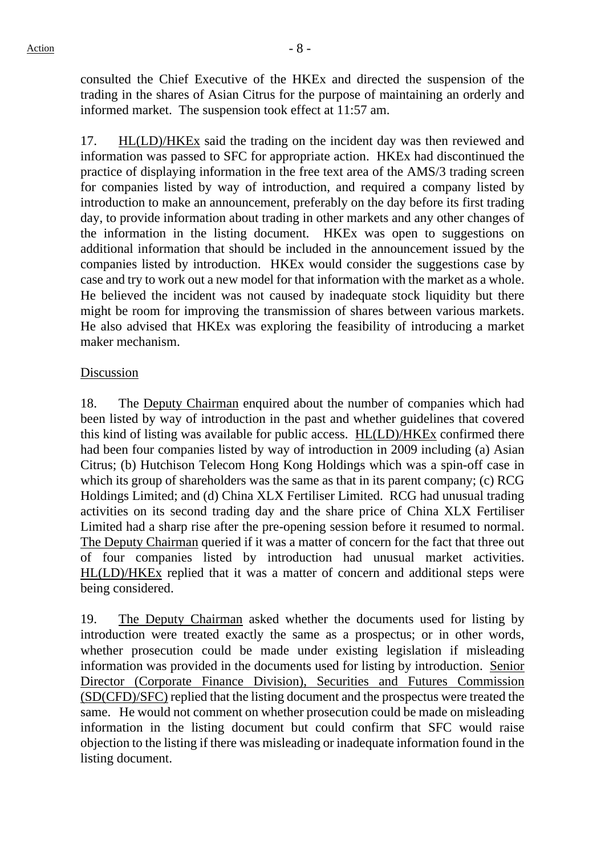consulted the Chief Executive of the HKEx and directed the suspension of the trading in the shares of Asian Citrus for the purpose of maintaining an orderly and informed market. The suspension took effect at 11:57 am.

17. HL(LD)/HKEx said the trading on the incident day was then reviewed and information was passed to SFC for appropriate action. HKEx had discontinued the practice of displaying information in the free text area of the AMS/3 trading screen for companies listed by way of introduction, and required a company listed by introduction to make an announcement, preferably on the day before its first trading day, to provide information about trading in other markets and any other changes of the information in the listing document. HKEx was open to suggestions on additional information that should be included in the announcement issued by the companies listed by introduction. HKEx would consider the suggestions case by case and try to work out a new model for that information with the market as a whole. He believed the incident was not caused by inadequate stock liquidity but there might be room for improving the transmission of shares between various markets. He also advised that HKEx was exploring the feasibility of introducing a market maker mechanism.

#### Discussion

18. The Deputy Chairman enquired about the number of companies which had been listed by way of introduction in the past and whether guidelines that covered this kind of listing was available for public access. HL(LD)/HKEx confirmed there had been four companies listed by way of introduction in 2009 including (a) Asian Citrus; (b) Hutchison Telecom Hong Kong Holdings which was a spin-off case in which its group of shareholders was the same as that in its parent company; (c) RCG Holdings Limited; and (d) China XLX Fertiliser Limited. RCG had unusual trading activities on its second trading day and the share price of China XLX Fertiliser Limited had a sharp rise after the pre-opening session before it resumed to normal. The Deputy Chairman queried if it was a matter of concern for the fact that three out of four companies listed by introduction had unusual market activities. HL(LD)/HKEx replied that it was a matter of concern and additional steps were being considered.

19. The Deputy Chairman asked whether the documents used for listing by introduction were treated exactly the same as a prospectus; or in other words, whether prosecution could be made under existing legislation if misleading information was provided in the documents used for listing by introduction. Senior Director (Corporate Finance Division), Securities and Futures Commission (SD(CFD)/SFC) replied that the listing document and the prospectus were treated the same. He would not comment on whether prosecution could be made on misleading information in the listing document but could confirm that SFC would raise objection to the listing if there was misleading or inadequate information found in the listing document.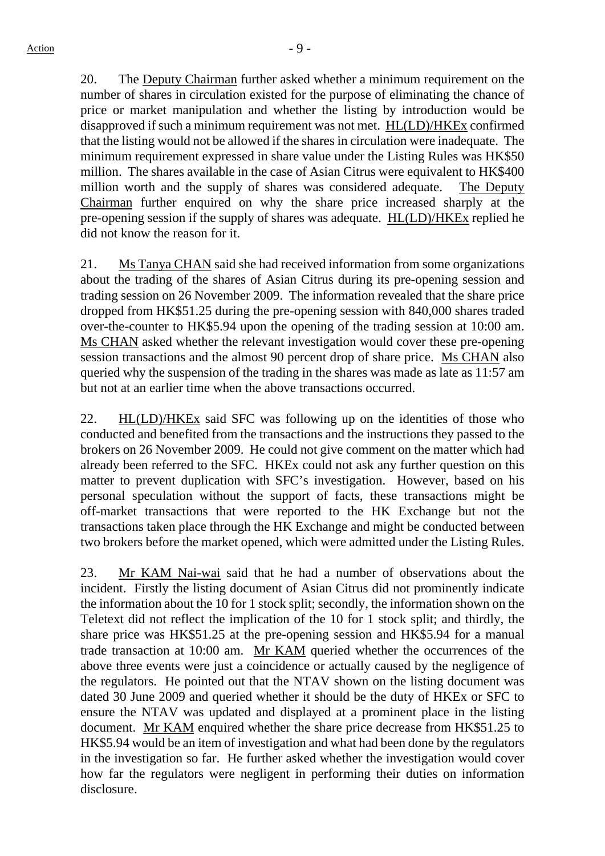20. The Deputy Chairman further asked whether a minimum requirement on the number of shares in circulation existed for the purpose of eliminating the chance of price or market manipulation and whether the listing by introduction would be disapproved if such a minimum requirement was not met. HL(LD)/HKEx confirmed that the listing would not be allowed if the shares in circulation were inadequate. The minimum requirement expressed in share value under the Listing Rules was HK\$50 million. The shares available in the case of Asian Citrus were equivalent to HK\$400 million worth and the supply of shares was considered adequate. The Deputy Chairman further enquired on why the share price increased sharply at the pre-opening session if the supply of shares was adequate. HL(LD)/HKEx replied he did not know the reason for it.

21. Ms Tanya CHAN said she had received information from some organizations about the trading of the shares of Asian Citrus during its pre-opening session and trading session on 26 November 2009. The information revealed that the share price dropped from HK\$51.25 during the pre-opening session with 840,000 shares traded over-the-counter to HK\$5.94 upon the opening of the trading session at 10:00 am. Ms CHAN asked whether the relevant investigation would cover these pre-opening session transactions and the almost 90 percent drop of share price. Ms CHAN also queried why the suspension of the trading in the shares was made as late as 11:57 am but not at an earlier time when the above transactions occurred.

22. HL(LD)/HKEx said SFC was following up on the identities of those who conducted and benefited from the transactions and the instructions they passed to the brokers on 26 November 2009. He could not give comment on the matter which had already been referred to the SFC. HKEx could not ask any further question on this matter to prevent duplication with SFC's investigation. However, based on his personal speculation without the support of facts, these transactions might be off-market transactions that were reported to the HK Exchange but not the transactions taken place through the HK Exchange and might be conducted between two brokers before the market opened, which were admitted under the Listing Rules.

23. Mr KAM Nai-wai said that he had a number of observations about the incident. Firstly the listing document of Asian Citrus did not prominently indicate the information about the 10 for 1 stock split; secondly, the information shown on the Teletext did not reflect the implication of the 10 for 1 stock split; and thirdly, the share price was HK\$51.25 at the pre-opening session and HK\$5.94 for a manual trade transaction at 10:00 am. Mr KAM queried whether the occurrences of the above three events were just a coincidence or actually caused by the negligence of the regulators. He pointed out that the NTAV shown on the listing document was dated 30 June 2009 and queried whether it should be the duty of HKEx or SFC to ensure the NTAV was updated and displayed at a prominent place in the listing document. Mr KAM enquired whether the share price decrease from HK\$51.25 to HK\$5.94 would be an item of investigation and what had been done by the regulators in the investigation so far. He further asked whether the investigation would cover how far the regulators were negligent in performing their duties on information disclosure.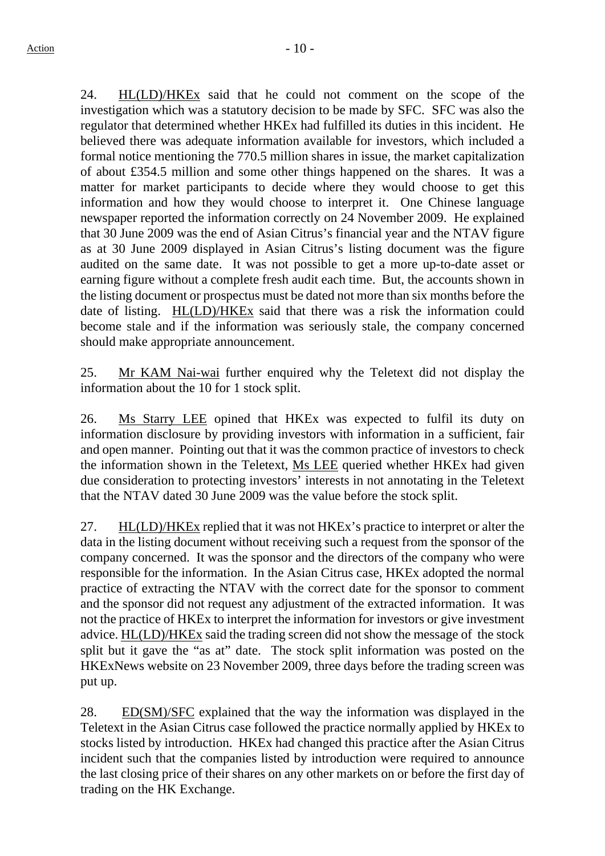24. HL(LD)/HKEx said that he could not comment on the scope of the investigation which was a statutory decision to be made by SFC. SFC was also the regulator that determined whether HKEx had fulfilled its duties in this incident. He believed there was adequate information available for investors, which included a formal notice mentioning the 770.5 million shares in issue, the market capitalization of about £354.5 million and some other things happened on the shares. It was a matter for market participants to decide where they would choose to get this information and how they would choose to interpret it. One Chinese language newspaper reported the information correctly on 24 November 2009. He explained that 30 June 2009 was the end of Asian Citrus's financial year and the NTAV figure as at 30 June 2009 displayed in Asian Citrus's listing document was the figure audited on the same date. It was not possible to get a more up-to-date asset or earning figure without a complete fresh audit each time. But, the accounts shown in the listing document or prospectus must be dated not more than six months before the date of listing. HL(LD)/HKEx said that there was a risk the information could become stale and if the information was seriously stale, the company concerned should make appropriate announcement.

25. Mr KAM Nai-wai further enquired why the Teletext did not display the information about the 10 for 1 stock split.

26. Ms Starry LEE opined that HKEx was expected to fulfil its duty on information disclosure by providing investors with information in a sufficient, fair and open manner. Pointing out that it was the common practice of investors to check the information shown in the Teletext, Ms LEE queried whether HKEx had given due consideration to protecting investors' interests in not annotating in the Teletext that the NTAV dated 30 June 2009 was the value before the stock split.

27. HL(LD)/HKEx replied that it was not HKEx's practice to interpret or alter the data in the listing document without receiving such a request from the sponsor of the company concerned. It was the sponsor and the directors of the company who were responsible for the information. In the Asian Citrus case, HKEx adopted the normal practice of extracting the NTAV with the correct date for the sponsor to comment and the sponsor did not request any adjustment of the extracted information. It was not the practice of HKEx to interpret the information for investors or give investment advice. HL(LD)/HKEx said the trading screen did not show the message of the stock split but it gave the "as at" date. The stock split information was posted on the HKExNews website on 23 November 2009, three days before the trading screen was put up.

28. ED(SM)/SFC explained that the way the information was displayed in the Teletext in the Asian Citrus case followed the practice normally applied by HKEx to stocks listed by introduction. HKEx had changed this practice after the Asian Citrus incident such that the companies listed by introduction were required to announce the last closing price of their shares on any other markets on or before the first day of trading on the HK Exchange.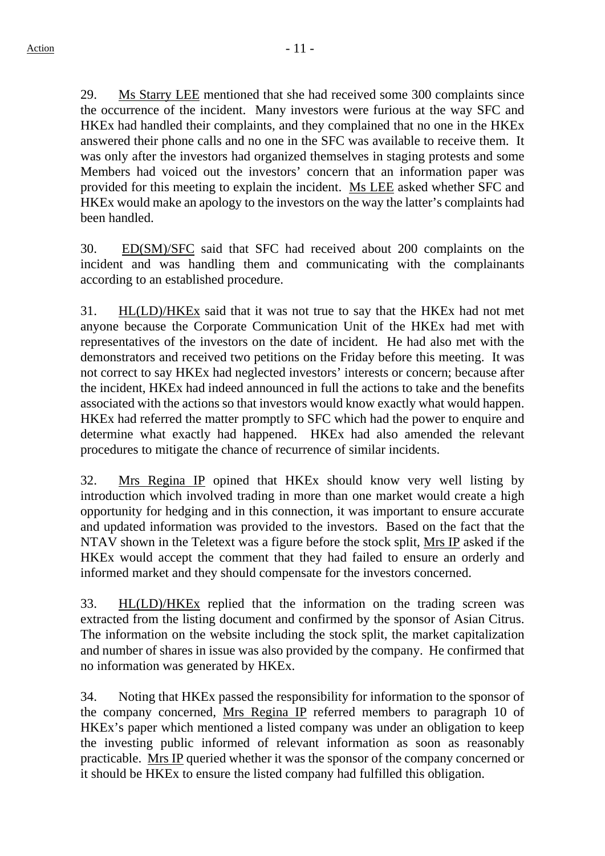29. Ms Starry LEE mentioned that she had received some 300 complaints since the occurrence of the incident. Many investors were furious at the way SFC and HKEx had handled their complaints, and they complained that no one in the HKEx answered their phone calls and no one in the SFC was available to receive them. It was only after the investors had organized themselves in staging protests and some Members had voiced out the investors' concern that an information paper was provided for this meeting to explain the incident. Ms LEE asked whether SFC and HKEx would make an apology to the investors on the way the latter's complaints had been handled.

30. ED(SM)/SFC said that SFC had received about 200 complaints on the incident and was handling them and communicating with the complainants according to an established procedure.

31. HL(LD)/HKEx said that it was not true to say that the HKEx had not met anyone because the Corporate Communication Unit of the HKEx had met with representatives of the investors on the date of incident. He had also met with the demonstrators and received two petitions on the Friday before this meeting. It was not correct to say HKEx had neglected investors' interests or concern; because after the incident, HKEx had indeed announced in full the actions to take and the benefits associated with the actions so that investors would know exactly what would happen. HKEx had referred the matter promptly to SFC which had the power to enquire and determine what exactly had happened. HKEx had also amended the relevant procedures to mitigate the chance of recurrence of similar incidents.

32. Mrs Regina IP opined that HKEx should know very well listing by introduction which involved trading in more than one market would create a high opportunity for hedging and in this connection, it was important to ensure accurate and updated information was provided to the investors. Based on the fact that the NTAV shown in the Teletext was a figure before the stock split, Mrs IP asked if the HKEx would accept the comment that they had failed to ensure an orderly and informed market and they should compensate for the investors concerned.

33. HL(LD)/HKEx replied that the information on the trading screen was extracted from the listing document and confirmed by the sponsor of Asian Citrus. The information on the website including the stock split, the market capitalization and number of shares in issue was also provided by the company. He confirmed that no information was generated by HKEx.

34. Noting that HKEx passed the responsibility for information to the sponsor of the company concerned, Mrs Regina IP referred members to paragraph 10 of HKEx's paper which mentioned a listed company was under an obligation to keep the investing public informed of relevant information as soon as reasonably practicable. Mrs IP queried whether it was the sponsor of the company concerned or it should be HKEx to ensure the listed company had fulfilled this obligation.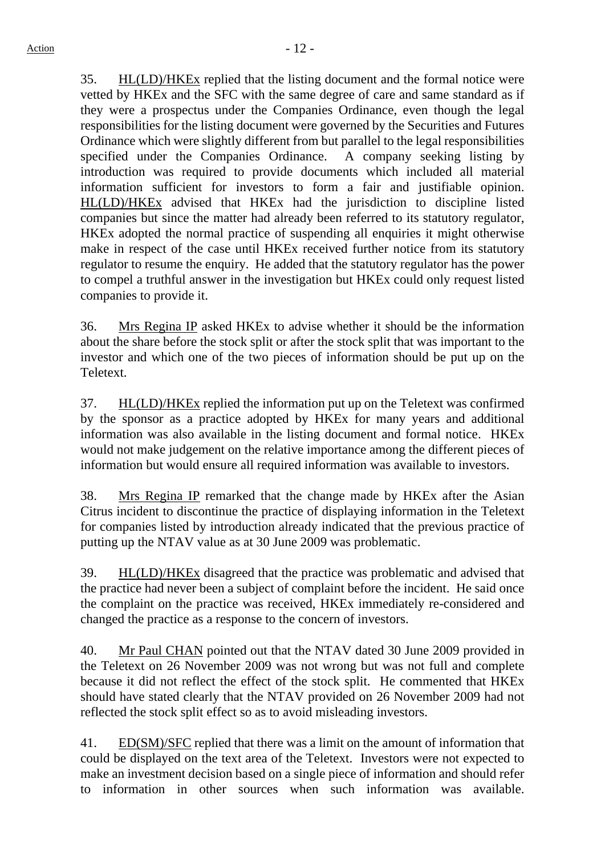35. HL(LD)/HKEx replied that the listing document and the formal notice were vetted by HKEx and the SFC with the same degree of care and same standard as if they were a prospectus under the Companies Ordinance, even though the legal responsibilities for the listing document were governed by the Securities and Futures Ordinance which were slightly different from but parallel to the legal responsibilities specified under the Companies Ordinance. A company seeking listing by introduction was required to provide documents which included all material information sufficient for investors to form a fair and justifiable opinion. HL(LD)/HKEx advised that HKEx had the jurisdiction to discipline listed companies but since the matter had already been referred to its statutory regulator, HKEx adopted the normal practice of suspending all enquiries it might otherwise make in respect of the case until HKEx received further notice from its statutory regulator to resume the enquiry. He added that the statutory regulator has the power to compel a truthful answer in the investigation but HKEx could only request listed companies to provide it.

36. Mrs Regina IP asked HKEx to advise whether it should be the information about the share before the stock split or after the stock split that was important to the investor and which one of the two pieces of information should be put up on the Teletext.

37. HL(LD)/HKEx replied the information put up on the Teletext was confirmed by the sponsor as a practice adopted by HKEx for many years and additional information was also available in the listing document and formal notice. HKEx would not make judgement on the relative importance among the different pieces of information but would ensure all required information was available to investors.

38. Mrs Regina IP remarked that the change made by HKEx after the Asian Citrus incident to discontinue the practice of displaying information in the Teletext for companies listed by introduction already indicated that the previous practice of putting up the NTAV value as at 30 June 2009 was problematic.

39. HL(LD)/HKEx disagreed that the practice was problematic and advised that the practice had never been a subject of complaint before the incident. He said once the complaint on the practice was received, HKEx immediately re-considered and changed the practice as a response to the concern of investors.

40. Mr Paul CHAN pointed out that the NTAV dated 30 June 2009 provided in the Teletext on 26 November 2009 was not wrong but was not full and complete because it did not reflect the effect of the stock split. He commented that HKEx should have stated clearly that the NTAV provided on 26 November 2009 had not reflected the stock split effect so as to avoid misleading investors.

41. ED(SM)/SFC replied that there was a limit on the amount of information that could be displayed on the text area of the Teletext. Investors were not expected to make an investment decision based on a single piece of information and should refer to information in other sources when such information was available.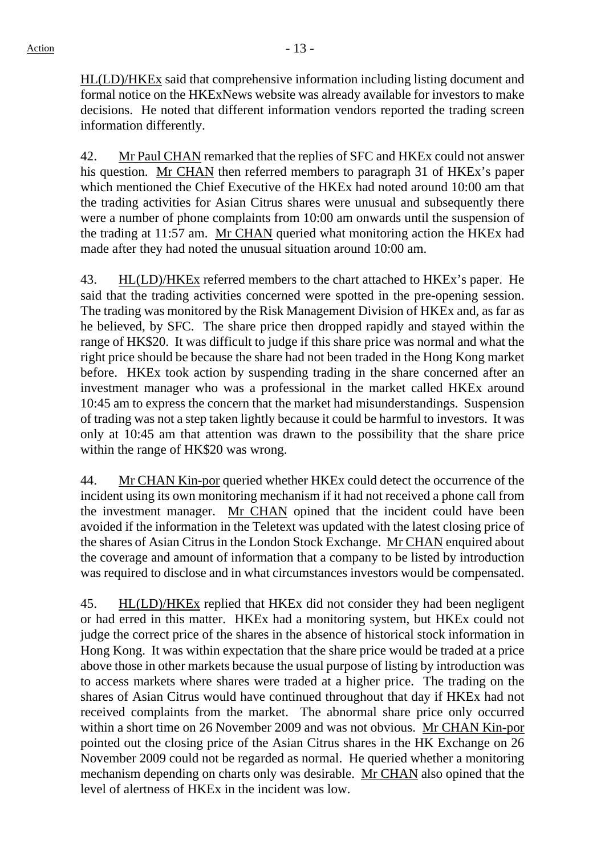HL(LD)/HKEx said that comprehensive information including listing document and formal notice on the HKExNews website was already available for investors to make decisions. He noted that different information vendors reported the trading screen information differently.

42. Mr Paul CHAN remarked that the replies of SFC and HKEx could not answer his question. Mr CHAN then referred members to paragraph 31 of HKEx's paper which mentioned the Chief Executive of the HKEx had noted around 10:00 am that the trading activities for Asian Citrus shares were unusual and subsequently there were a number of phone complaints from 10:00 am onwards until the suspension of the trading at 11:57 am. Mr CHAN queried what monitoring action the HKEx had made after they had noted the unusual situation around 10:00 am.

43. HL(LD)/HKEx referred members to the chart attached to HKEx's paper. He said that the trading activities concerned were spotted in the pre-opening session. The trading was monitored by the Risk Management Division of HKEx and, as far as he believed, by SFC. The share price then dropped rapidly and stayed within the range of HK\$20. It was difficult to judge if this share price was normal and what the right price should be because the share had not been traded in the Hong Kong market before. HKEx took action by suspending trading in the share concerned after an investment manager who was a professional in the market called HKEx around 10:45 am to express the concern that the market had misunderstandings. Suspension of trading was not a step taken lightly because it could be harmful to investors. It was only at 10:45 am that attention was drawn to the possibility that the share price within the range of HK\$20 was wrong.

44. Mr CHAN Kin-por queried whether HKEx could detect the occurrence of the incident using its own monitoring mechanism if it had not received a phone call from the investment manager. Mr CHAN opined that the incident could have been avoided if the information in the Teletext was updated with the latest closing price of the shares of Asian Citrus in the London Stock Exchange. Mr CHAN enquired about the coverage and amount of information that a company to be listed by introduction was required to disclose and in what circumstances investors would be compensated.

45. HL(LD)/HKEx replied that HKEx did not consider they had been negligent or had erred in this matter. HKEx had a monitoring system, but HKEx could not judge the correct price of the shares in the absence of historical stock information in Hong Kong. It was within expectation that the share price would be traded at a price above those in other markets because the usual purpose of listing by introduction was to access markets where shares were traded at a higher price. The trading on the shares of Asian Citrus would have continued throughout that day if HKEx had not received complaints from the market. The abnormal share price only occurred within a short time on 26 November 2009 and was not obvious. Mr CHAN Kin-por pointed out the closing price of the Asian Citrus shares in the HK Exchange on 26 November 2009 could not be regarded as normal. He queried whether a monitoring mechanism depending on charts only was desirable. Mr CHAN also opined that the level of alertness of HKEx in the incident was low.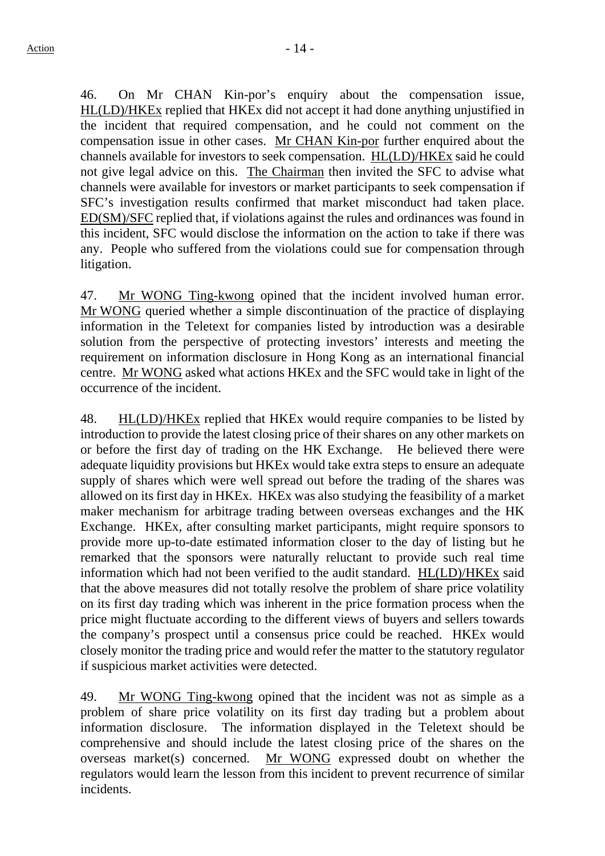46. On Mr CHAN Kin-por's enquiry about the compensation issue, HL(LD)/HKEx replied that HKEx did not accept it had done anything unjustified in the incident that required compensation, and he could not comment on the compensation issue in other cases. Mr CHAN Kin-por further enquired about the channels available for investors to seek compensation. HL(LD)/HKEx said he could not give legal advice on this. The Chairman then invited the SFC to advise what channels were available for investors or market participants to seek compensation if SFC's investigation results confirmed that market misconduct had taken place. ED(SM)/SFC replied that, if violations against the rules and ordinances was found in this incident, SFC would disclose the information on the action to take if there was any. People who suffered from the violations could sue for compensation through litigation.

47. Mr WONG Ting-kwong opined that the incident involved human error. Mr WONG queried whether a simple discontinuation of the practice of displaying information in the Teletext for companies listed by introduction was a desirable solution from the perspective of protecting investors' interests and meeting the requirement on information disclosure in Hong Kong as an international financial centre. Mr WONG asked what actions HKEx and the SFC would take in light of the occurrence of the incident.

48. HL(LD)/HKEx replied that HKEx would require companies to be listed by introduction to provide the latest closing price of their shares on any other markets on or before the first day of trading on the HK Exchange. He believed there were adequate liquidity provisions but HKEx would take extra steps to ensure an adequate supply of shares which were well spread out before the trading of the shares was allowed on its first day in HKEx. HKEx was also studying the feasibility of a market maker mechanism for arbitrage trading between overseas exchanges and the HK Exchange. HKEx, after consulting market participants, might require sponsors to provide more up-to-date estimated information closer to the day of listing but he remarked that the sponsors were naturally reluctant to provide such real time information which had not been verified to the audit standard. HL(LD)/HKEx said that the above measures did not totally resolve the problem of share price volatility on its first day trading which was inherent in the price formation process when the price might fluctuate according to the different views of buyers and sellers towards the company's prospect until a consensus price could be reached. HKEx would closely monitor the trading price and would refer the matter to the statutory regulator if suspicious market activities were detected.

49. Mr WONG Ting-kwong opined that the incident was not as simple as a problem of share price volatility on its first day trading but a problem about information disclosure. The information displayed in the Teletext should be comprehensive and should include the latest closing price of the shares on the overseas market(s) concerned. Mr WONG expressed doubt on whether the regulators would learn the lesson from this incident to prevent recurrence of similar incidents.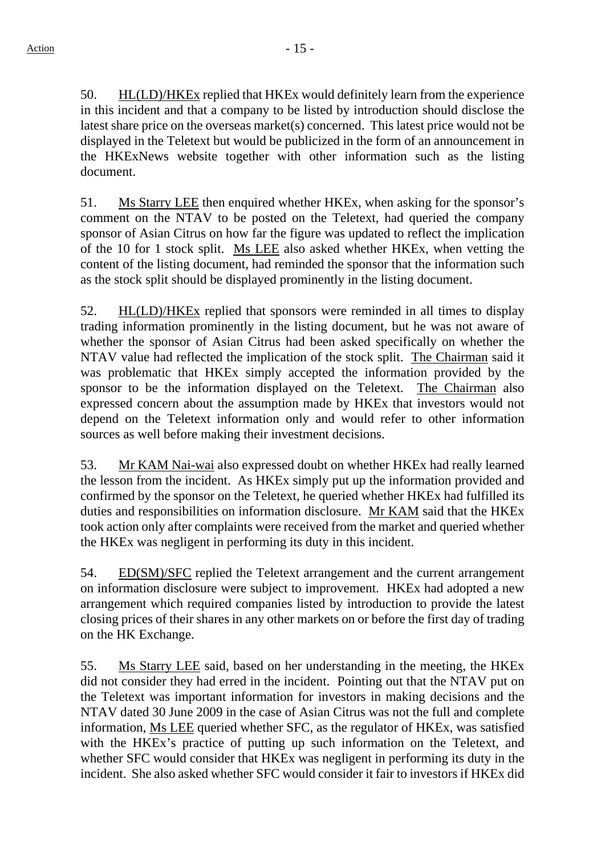50. HL(LD)/HKEx replied that HKEx would definitely learn from the experience in this incident and that a company to be listed by introduction should disclose the latest share price on the overseas market(s) concerned. This latest price would not be displayed in the Teletext but would be publicized in the form of an announcement in the HKExNews website together with other information such as the listing document.

51. Ms Starry LEE then enquired whether HKEx, when asking for the sponsor's comment on the NTAV to be posted on the Teletext, had queried the company sponsor of Asian Citrus on how far the figure was updated to reflect the implication of the 10 for 1 stock split. Ms LEE also asked whether HKEx, when vetting the content of the listing document, had reminded the sponsor that the information such as the stock split should be displayed prominently in the listing document.

52. HL(LD)/HKEx replied that sponsors were reminded in all times to display trading information prominently in the listing document, but he was not aware of whether the sponsor of Asian Citrus had been asked specifically on whether the NTAV value had reflected the implication of the stock split. The Chairman said it was problematic that HKEx simply accepted the information provided by the sponsor to be the information displayed on the Teletext. The Chairman also expressed concern about the assumption made by HKEx that investors would not depend on the Teletext information only and would refer to other information sources as well before making their investment decisions.

53. Mr KAM Nai-wai also expressed doubt on whether HKEx had really learned the lesson from the incident. As HKEx simply put up the information provided and confirmed by the sponsor on the Teletext, he queried whether HKEx had fulfilled its duties and responsibilities on information disclosure. Mr KAM said that the HKEx took action only after complaints were received from the market and queried whether the HKEx was negligent in performing its duty in this incident.

54. ED(SM)/SFC replied the Teletext arrangement and the current arrangement on information disclosure were subject to improvement. HKEx had adopted a new arrangement which required companies listed by introduction to provide the latest closing prices of their shares in any other markets on or before the first day of trading on the HK Exchange.

55. Ms Starry LEE said, based on her understanding in the meeting, the HKEx did not consider they had erred in the incident. Pointing out that the NTAV put on the Teletext was important information for investors in making decisions and the NTAV dated 30 June 2009 in the case of Asian Citrus was not the full and complete information, Ms LEE queried whether SFC, as the regulator of HKEx, was satisfied with the HKEx's practice of putting up such information on the Teletext, and whether SFC would consider that HKEx was negligent in performing its duty in the incident. She also asked whether SFC would consider it fair to investors if HKEx did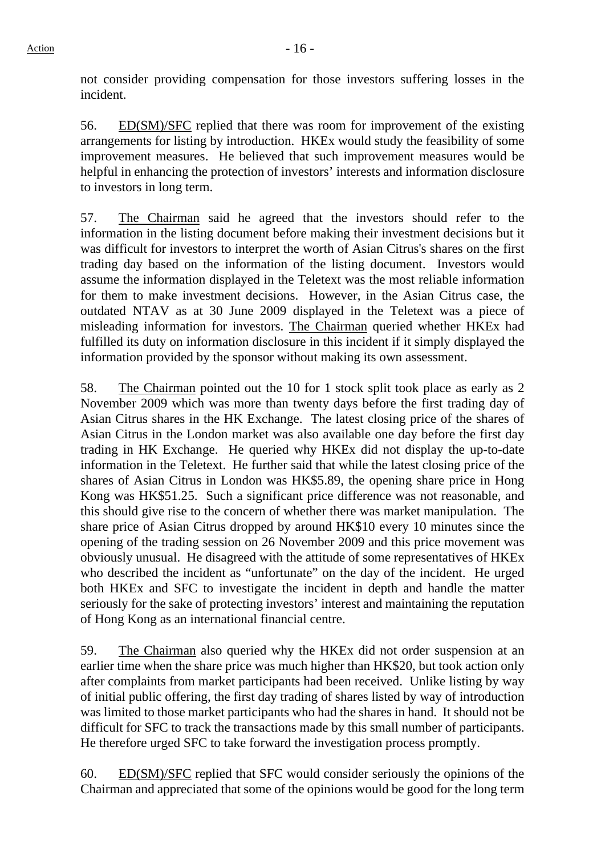not consider providing compensation for those investors suffering losses in the incident.

56. ED(SM)/SFC replied that there was room for improvement of the existing arrangements for listing by introduction. HKEx would study the feasibility of some improvement measures. He believed that such improvement measures would be helpful in enhancing the protection of investors' interests and information disclosure to investors in long term.

57. The Chairman said he agreed that the investors should refer to the information in the listing document before making their investment decisions but it was difficult for investors to interpret the worth of Asian Citrus's shares on the first trading day based on the information of the listing document. Investors would assume the information displayed in the Teletext was the most reliable information for them to make investment decisions. However, in the Asian Citrus case, the outdated NTAV as at 30 June 2009 displayed in the Teletext was a piece of misleading information for investors. The Chairman queried whether HKEx had fulfilled its duty on information disclosure in this incident if it simply displayed the information provided by the sponsor without making its own assessment.

58. The Chairman pointed out the 10 for 1 stock split took place as early as 2 November 2009 which was more than twenty days before the first trading day of Asian Citrus shares in the HK Exchange. The latest closing price of the shares of Asian Citrus in the London market was also available one day before the first day trading in HK Exchange. He queried why HKEx did not display the up-to-date information in the Teletext. He further said that while the latest closing price of the shares of Asian Citrus in London was HK\$5.89, the opening share price in Hong Kong was HK\$51.25. Such a significant price difference was not reasonable, and this should give rise to the concern of whether there was market manipulation. The share price of Asian Citrus dropped by around HK\$10 every 10 minutes since the opening of the trading session on 26 November 2009 and this price movement was obviously unusual. He disagreed with the attitude of some representatives of HKEx who described the incident as "unfortunate" on the day of the incident. He urged both HKEx and SFC to investigate the incident in depth and handle the matter seriously for the sake of protecting investors' interest and maintaining the reputation of Hong Kong as an international financial centre.

59. The Chairman also queried why the HKEx did not order suspension at an earlier time when the share price was much higher than HK\$20, but took action only after complaints from market participants had been received. Unlike listing by way of initial public offering, the first day trading of shares listed by way of introduction was limited to those market participants who had the shares in hand. It should not be difficult for SFC to track the transactions made by this small number of participants. He therefore urged SFC to take forward the investigation process promptly.

60. ED(SM)/SFC replied that SFC would consider seriously the opinions of the Chairman and appreciated that some of the opinions would be good for the long term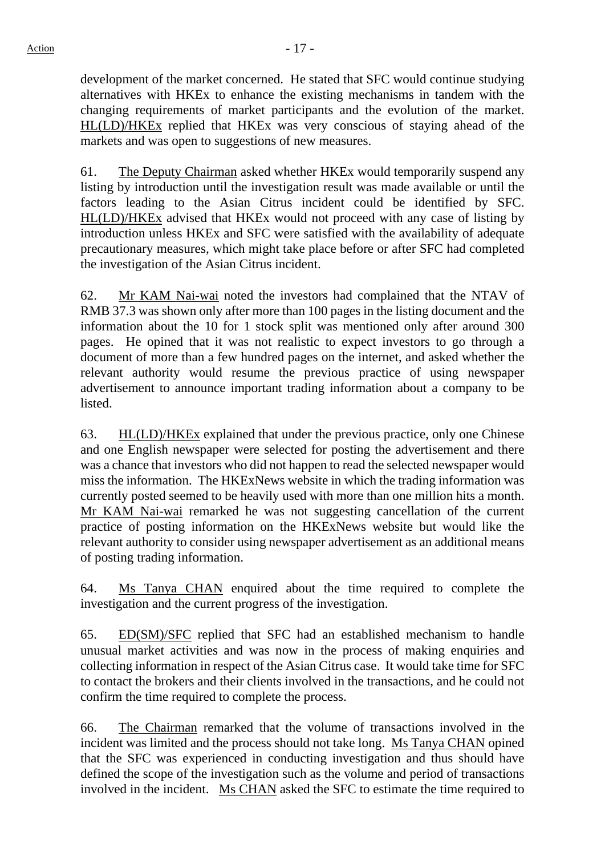development of the market concerned. He stated that SFC would continue studying alternatives with HKEx to enhance the existing mechanisms in tandem with the changing requirements of market participants and the evolution of the market. HL(LD)/HKEx replied that HKEx was very conscious of staying ahead of the markets and was open to suggestions of new measures.

61. The Deputy Chairman asked whether HKEx would temporarily suspend any listing by introduction until the investigation result was made available or until the factors leading to the Asian Citrus incident could be identified by SFC. HL(LD)/HKEx advised that HKEx would not proceed with any case of listing by introduction unless HKEx and SFC were satisfied with the availability of adequate precautionary measures, which might take place before or after SFC had completed the investigation of the Asian Citrus incident.

62. Mr KAM Nai-wai noted the investors had complained that the NTAV of RMB 37.3 was shown only after more than 100 pages in the listing document and the information about the 10 for 1 stock split was mentioned only after around 300 pages. He opined that it was not realistic to expect investors to go through a document of more than a few hundred pages on the internet, and asked whether the relevant authority would resume the previous practice of using newspaper advertisement to announce important trading information about a company to be listed.

63. HL(LD)/HKEx explained that under the previous practice, only one Chinese and one English newspaper were selected for posting the advertisement and there was a chance that investors who did not happen to read the selected newspaper would miss the information. The HKExNews website in which the trading information was currently posted seemed to be heavily used with more than one million hits a month. Mr KAM Nai-wai remarked he was not suggesting cancellation of the current practice of posting information on the HKExNews website but would like the relevant authority to consider using newspaper advertisement as an additional means of posting trading information.

64. Ms Tanya CHAN enquired about the time required to complete the investigation and the current progress of the investigation.

65. ED(SM)/SFC replied that SFC had an established mechanism to handle unusual market activities and was now in the process of making enquiries and collecting information in respect of the Asian Citrus case. It would take time for SFC to contact the brokers and their clients involved in the transactions, and he could not confirm the time required to complete the process.

66. The Chairman remarked that the volume of transactions involved in the incident was limited and the process should not take long. Ms Tanya CHAN opined that the SFC was experienced in conducting investigation and thus should have defined the scope of the investigation such as the volume and period of transactions involved in the incident. Ms CHAN asked the SFC to estimate the time required to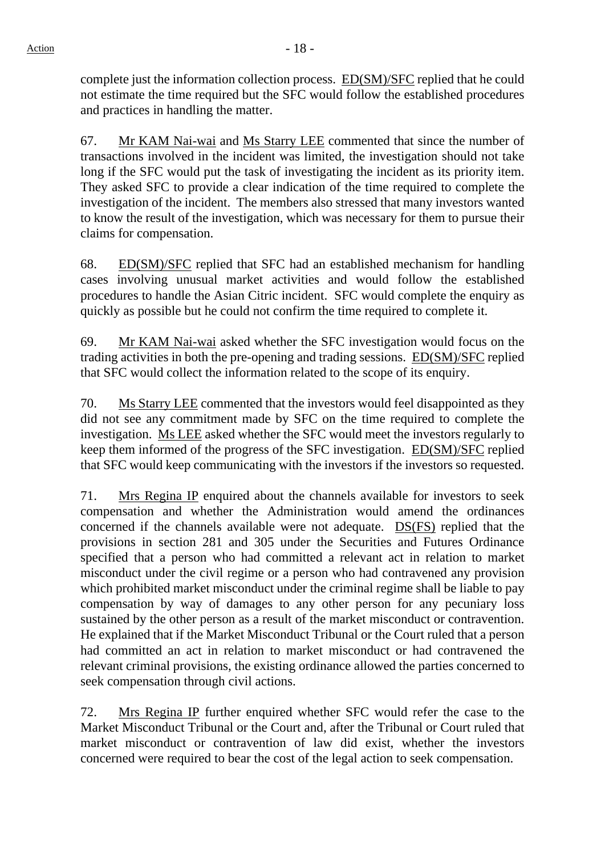complete just the information collection process. ED(SM)/SFC replied that he could not estimate the time required but the SFC would follow the established procedures and practices in handling the matter.

67. Mr KAM Nai-wai and Ms Starry LEE commented that since the number of transactions involved in the incident was limited, the investigation should not take long if the SFC would put the task of investigating the incident as its priority item. They asked SFC to provide a clear indication of the time required to complete the investigation of the incident. The members also stressed that many investors wanted to know the result of the investigation, which was necessary for them to pursue their claims for compensation.

68. ED(SM)/SFC replied that SFC had an established mechanism for handling cases involving unusual market activities and would follow the established procedures to handle the Asian Citric incident. SFC would complete the enquiry as quickly as possible but he could not confirm the time required to complete it.

69. Mr KAM Nai-wai asked whether the SFC investigation would focus on the trading activities in both the pre-opening and trading sessions. ED(SM)/SFC replied that SFC would collect the information related to the scope of its enquiry.

70. Ms Starry LEE commented that the investors would feel disappointed as they did not see any commitment made by SFC on the time required to complete the investigation. Ms LEE asked whether the SFC would meet the investors regularly to keep them informed of the progress of the SFC investigation. ED(SM)/SFC replied that SFC would keep communicating with the investors if the investors so requested.

71. Mrs Regina IP enquired about the channels available for investors to seek compensation and whether the Administration would amend the ordinances concerned if the channels available were not adequate. DS(FS) replied that the provisions in section 281 and 305 under the Securities and Futures Ordinance specified that a person who had committed a relevant act in relation to market misconduct under the civil regime or a person who had contravened any provision which prohibited market misconduct under the criminal regime shall be liable to pay compensation by way of damages to any other person for any pecuniary loss sustained by the other person as a result of the market misconduct or contravention. He explained that if the Market Misconduct Tribunal or the Court ruled that a person had committed an act in relation to market misconduct or had contravened the relevant criminal provisions, the existing ordinance allowed the parties concerned to seek compensation through civil actions.

72. Mrs Regina IP further enquired whether SFC would refer the case to the Market Misconduct Tribunal or the Court and, after the Tribunal or Court ruled that market misconduct or contravention of law did exist, whether the investors concerned were required to bear the cost of the legal action to seek compensation.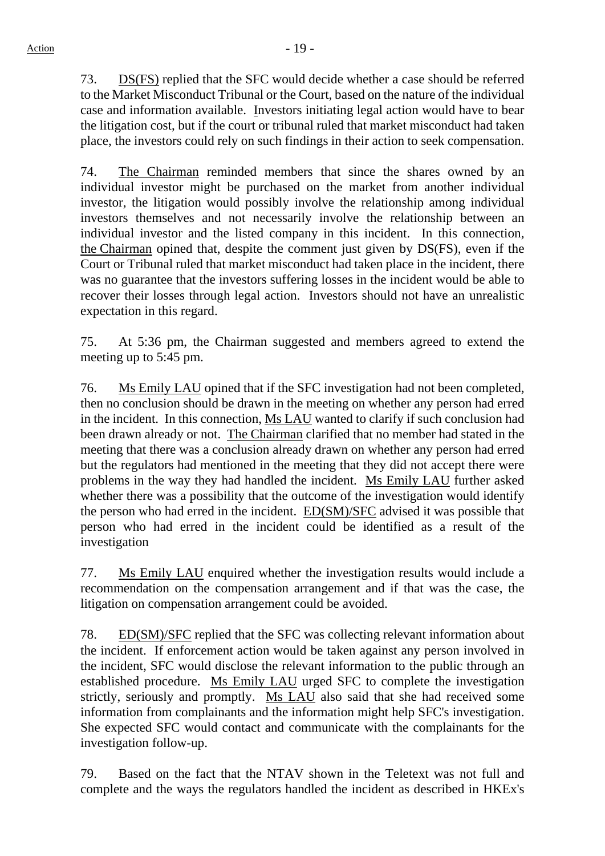73. DS(FS) replied that the SFC would decide whether a case should be referred to the Market Misconduct Tribunal or the Court, based on the nature of the individual case and information available. Investors initiating legal action would have to bear the litigation cost, but if the court or tribunal ruled that market misconduct had taken place, the investors could rely on such findings in their action to seek compensation.

74. The Chairman reminded members that since the shares owned by an individual investor might be purchased on the market from another individual investor, the litigation would possibly involve the relationship among individual investors themselves and not necessarily involve the relationship between an individual investor and the listed company in this incident. In this connection, the Chairman opined that, despite the comment just given by DS(FS), even if the Court or Tribunal ruled that market misconduct had taken place in the incident, there was no guarantee that the investors suffering losses in the incident would be able to recover their losses through legal action. Investors should not have an unrealistic expectation in this regard.

75. At 5:36 pm, the Chairman suggested and members agreed to extend the meeting up to 5:45 pm.

76. Ms Emily LAU opined that if the SFC investigation had not been completed, then no conclusion should be drawn in the meeting on whether any person had erred in the incident. In this connection, Ms LAU wanted to clarify if such conclusion had been drawn already or not. The Chairman clarified that no member had stated in the meeting that there was a conclusion already drawn on whether any person had erred but the regulators had mentioned in the meeting that they did not accept there were problems in the way they had handled the incident. Ms Emily LAU further asked whether there was a possibility that the outcome of the investigation would identify the person who had erred in the incident. ED(SM)/SFC advised it was possible that person who had erred in the incident could be identified as a result of the investigation

77. Ms Emily LAU enquired whether the investigation results would include a recommendation on the compensation arrangement and if that was the case, the litigation on compensation arrangement could be avoided.

78. ED(SM)/SFC replied that the SFC was collecting relevant information about the incident. If enforcement action would be taken against any person involved in the incident, SFC would disclose the relevant information to the public through an established procedure. Ms Emily LAU urged SFC to complete the investigation strictly, seriously and promptly. Ms LAU also said that she had received some information from complainants and the information might help SFC's investigation. She expected SFC would contact and communicate with the complainants for the investigation follow-up.

79. Based on the fact that the NTAV shown in the Teletext was not full and complete and the ways the regulators handled the incident as described in HKEx's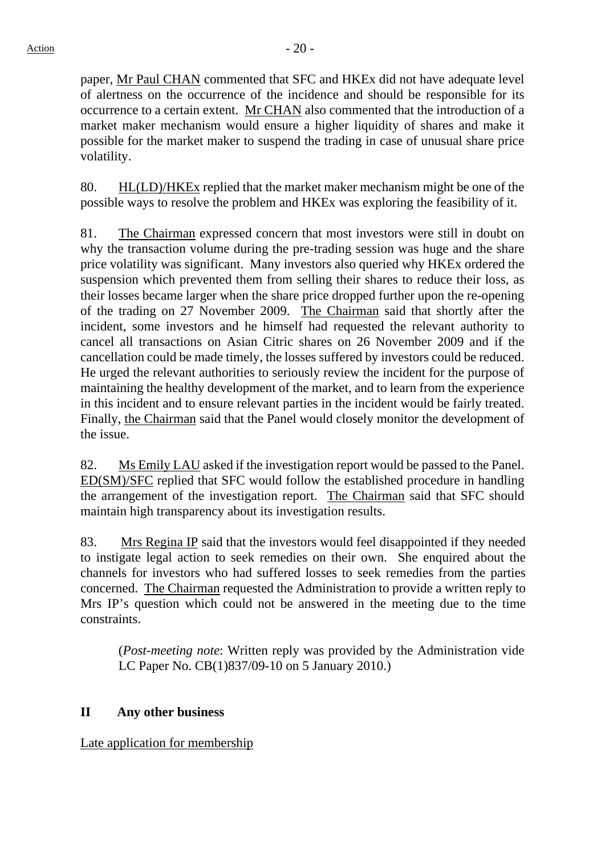paper, Mr Paul CHAN commented that SFC and HKEx did not have adequate level of alertness on the occurrence of the incidence and should be responsible for its occurrence to a certain extent. Mr CHAN also commented that the introduction of a market maker mechanism would ensure a higher liquidity of shares and make it possible for the market maker to suspend the trading in case of unusual share price volatility.

80. HL(LD)/HKEx replied that the market maker mechanism might be one of the possible ways to resolve the problem and HKEx was exploring the feasibility of it.

81. The Chairman expressed concern that most investors were still in doubt on why the transaction volume during the pre-trading session was huge and the share price volatility was significant. Many investors also queried why HKEx ordered the suspension which prevented them from selling their shares to reduce their loss, as their losses became larger when the share price dropped further upon the re-opening of the trading on 27 November 2009. The Chairman said that shortly after the incident, some investors and he himself had requested the relevant authority to cancel all transactions on Asian Citric shares on 26 November 2009 and if the cancellation could be made timely, the losses suffered by investors could be reduced. He urged the relevant authorities to seriously review the incident for the purpose of maintaining the healthy development of the market, and to learn from the experience in this incident and to ensure relevant parties in the incident would be fairly treated. Finally, the Chairman said that the Panel would closely monitor the development of the issue.

82. Ms Emily LAU asked if the investigation report would be passed to the Panel. ED(SM)/SFC replied that SFC would follow the established procedure in handling the arrangement of the investigation report. The Chairman said that SFC should maintain high transparency about its investigation results.

83. Mrs Regina IP said that the investors would feel disappointed if they needed to instigate legal action to seek remedies on their own. She enquired about the channels for investors who had suffered losses to seek remedies from the parties concerned. The Chairman requested the Administration to provide a written reply to Mrs IP's question which could not be answered in the meeting due to the time constraints.

(*Post-meeting note*: Written reply was provided by the Administration vide LC Paper No. CB(1)837/09-10 on 5 January 2010.)

## **II Any other business**

Late application for membership